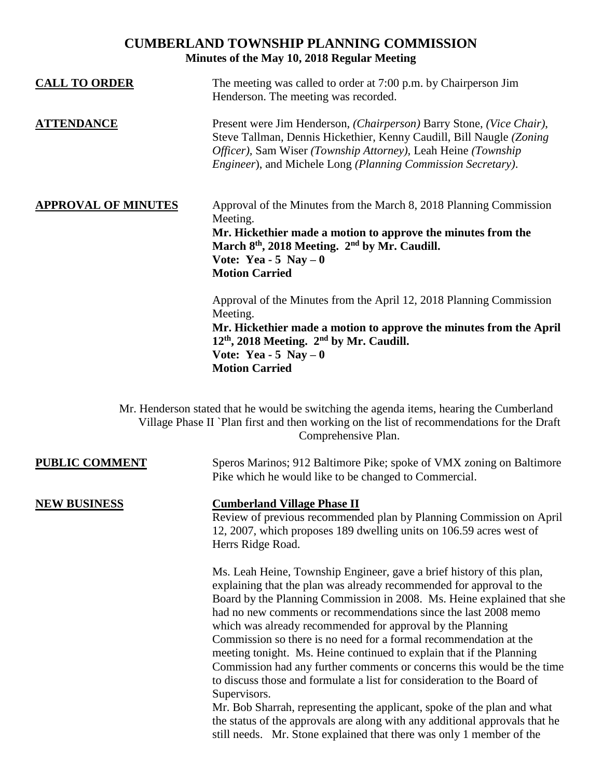# **CUMBERLAND TOWNSHIP PLANNING COMMISSION Minutes of the May 10, 2018 Regular Meeting**

| <b>CALL TO ORDER</b>       | The meeting was called to order at 7:00 p.m. by Chairperson Jim<br>Henderson. The meeting was recorded.                                                                                                                                                                                         |
|----------------------------|-------------------------------------------------------------------------------------------------------------------------------------------------------------------------------------------------------------------------------------------------------------------------------------------------|
| <b>ATTENDANCE</b>          | Present were Jim Henderson, (Chairperson) Barry Stone, (Vice Chair),<br>Steve Tallman, Dennis Hickethier, Kenny Caudill, Bill Naugle (Zoning)<br>Officer), Sam Wiser (Township Attorney), Leah Heine (Township<br><i>Engineer</i> ), and Michele Long ( <i>Planning Commission Secretary</i> ). |
| <b>APPROVAL OF MINUTES</b> | Approval of the Minutes from the March 8, 2018 Planning Commission<br>Meeting.<br>Mr. Hickethier made a motion to approve the minutes from the<br>March 8 <sup>th</sup> , 2018 Meeting. 2 <sup>nd</sup> by Mr. Caudill.<br>Vote: Yea - 5 Nay $-0$<br><b>Motion Carried</b>                      |
|                            | Approval of the Minutes from the April 12, 2018 Planning Commission<br>Meeting.<br>Mr. Hickethier made a motion to approve the minutes from the April<br>$12th$ , 2018 Meeting. $2nd$ by Mr. Caudill.<br>Vote: Yea - 5 Nay $-0$<br><b>Motion Carried</b>                                        |

Mr. Henderson stated that he would be switching the agenda items, hearing the Cumberland Village Phase II `Plan first and then working on the list of recommendations for the Draft Comprehensive Plan.

**PUBLIC COMMENT** Speros Marinos; 912 Baltimore Pike; spoke of VMX zoning on Baltimore Pike which he would like to be changed to Commercial.

**NEW BUSINESS Cumberland Village Phase II** Review of previous recommended plan by Planning Commission on April

12, 2007, which proposes 189 dwelling units on 106.59 acres west of Herrs Ridge Road.

Ms. Leah Heine, Township Engineer, gave a brief history of this plan, explaining that the plan was already recommended for approval to the Board by the Planning Commission in 2008. Ms. Heine explained that she had no new comments or recommendations since the last 2008 memo which was already recommended for approval by the Planning Commission so there is no need for a formal recommendation at the meeting tonight. Ms. Heine continued to explain that if the Planning Commission had any further comments or concerns this would be the time to discuss those and formulate a list for consideration to the Board of Supervisors.

Mr. Bob Sharrah, representing the applicant, spoke of the plan and what the status of the approvals are along with any additional approvals that he still needs. Mr. Stone explained that there was only 1 member of the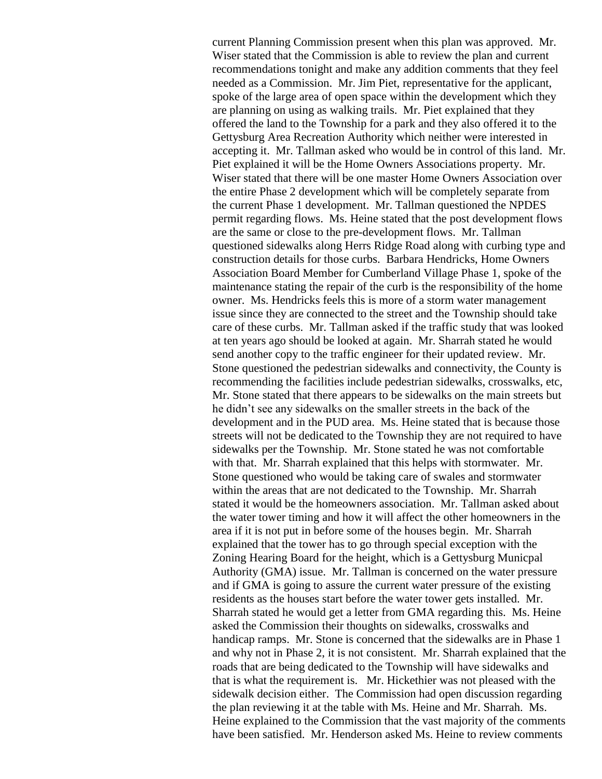current Planning Commission present when this plan was approved. Mr. Wiser stated that the Commission is able to review the plan and current recommendations tonight and make any addition comments that they feel needed as a Commission. Mr. Jim Piet, representative for the applicant, spoke of the large area of open space within the development which they are planning on using as walking trails. Mr. Piet explained that they offered the land to the Township for a park and they also offered it to the Gettysburg Area Recreation Authority which neither were interested in accepting it. Mr. Tallman asked who would be in control of this land. Mr. Piet explained it will be the Home Owners Associations property. Mr. Wiser stated that there will be one master Home Owners Association over the entire Phase 2 development which will be completely separate from the current Phase 1 development. Mr. Tallman questioned the NPDES permit regarding flows. Ms. Heine stated that the post development flows are the same or close to the pre-development flows. Mr. Tallman questioned sidewalks along Herrs Ridge Road along with curbing type and construction details for those curbs. Barbara Hendricks, Home Owners Association Board Member for Cumberland Village Phase 1, spoke of the maintenance stating the repair of the curb is the responsibility of the home owner. Ms. Hendricks feels this is more of a storm water management issue since they are connected to the street and the Township should take care of these curbs. Mr. Tallman asked if the traffic study that was looked at ten years ago should be looked at again. Mr. Sharrah stated he would send another copy to the traffic engineer for their updated review. Mr. Stone questioned the pedestrian sidewalks and connectivity, the County is recommending the facilities include pedestrian sidewalks, crosswalks, etc, Mr. Stone stated that there appears to be sidewalks on the main streets but he didn't see any sidewalks on the smaller streets in the back of the development and in the PUD area. Ms. Heine stated that is because those streets will not be dedicated to the Township they are not required to have sidewalks per the Township. Mr. Stone stated he was not comfortable with that. Mr. Sharrah explained that this helps with stormwater. Mr. Stone questioned who would be taking care of swales and stormwater within the areas that are not dedicated to the Township. Mr. Sharrah stated it would be the homeowners association. Mr. Tallman asked about the water tower timing and how it will affect the other homeowners in the area if it is not put in before some of the houses begin. Mr. Sharrah explained that the tower has to go through special exception with the Zoning Hearing Board for the height, which is a Gettysburg Municpal Authority (GMA) issue. Mr. Tallman is concerned on the water pressure and if GMA is going to assure the current water pressure of the existing residents as the houses start before the water tower gets installed. Mr. Sharrah stated he would get a letter from GMA regarding this. Ms. Heine asked the Commission their thoughts on sidewalks, crosswalks and handicap ramps. Mr. Stone is concerned that the sidewalks are in Phase 1 and why not in Phase 2, it is not consistent. Mr. Sharrah explained that the roads that are being dedicated to the Township will have sidewalks and that is what the requirement is. Mr. Hickethier was not pleased with the sidewalk decision either. The Commission had open discussion regarding the plan reviewing it at the table with Ms. Heine and Mr. Sharrah. Ms. Heine explained to the Commission that the vast majority of the comments have been satisfied. Mr. Henderson asked Ms. Heine to review comments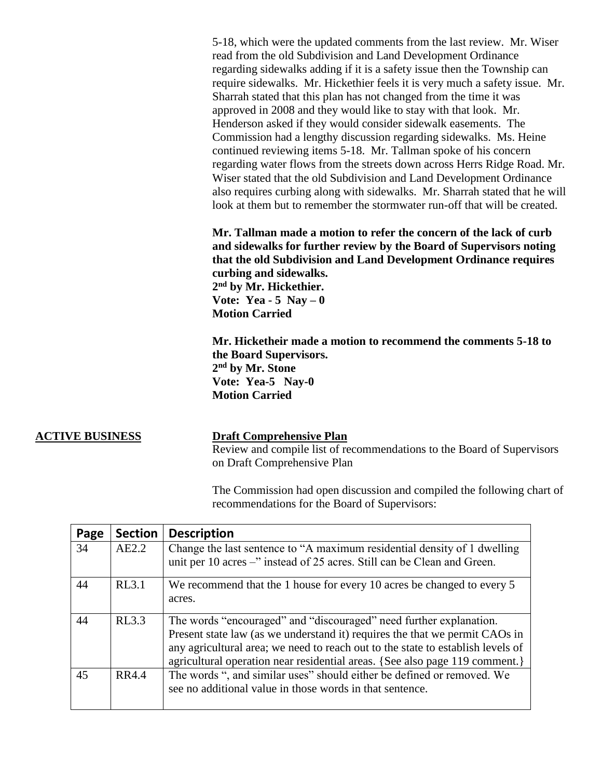5-18, which were the updated comments from the last review. Mr. Wiser read from the old Subdivision and Land Development Ordinance regarding sidewalks adding if it is a safety issue then the Township can require sidewalks. Mr. Hickethier feels it is very much a safety issue. Mr. Sharrah stated that this plan has not changed from the time it was approved in 2008 and they would like to stay with that look. Mr. Henderson asked if they would consider sidewalk easements. The Commission had a lengthy discussion regarding sidewalks. Ms. Heine continued reviewing items 5-18. Mr. Tallman spoke of his concern regarding water flows from the streets down across Herrs Ridge Road. Mr. Wiser stated that the old Subdivision and Land Development Ordinance also requires curbing along with sidewalks. Mr. Sharrah stated that he will look at them but to remember the stormwater run-off that will be created.

**Mr. Tallman made a motion to refer the concern of the lack of curb and sidewalks for further review by the Board of Supervisors noting that the old Subdivision and Land Development Ordinance requires curbing and sidewalks. 2 nd by Mr. Hickethier. Vote: Yea - 5 Nay – 0 Motion Carried**

**Mr. Hicketheir made a motion to recommend the comments 5-18 to the Board Supervisors. 2 nd by Mr. Stone Vote: Yea-5 Nay-0 Motion Carried**

### **ACTIVE BUSINESS Draft Comprehensive Plan**

Review and compile list of recommendations to the Board of Supervisors on Draft Comprehensive Plan

The Commission had open discussion and compiled the following chart of recommendations for the Board of Supervisors:

| Page | <b>Section</b> | <b>Description</b>                                                                                                                                  |
|------|----------------|-----------------------------------------------------------------------------------------------------------------------------------------------------|
| 34   | AE2.2          | Change the last sentence to "A maximum residential density of 1 dwelling<br>unit per 10 acres –" instead of 25 acres. Still can be Clean and Green. |
|      |                |                                                                                                                                                     |
| 44   | RL3.1          | We recommend that the 1 house for every 10 acres be changed to every 5                                                                              |
|      |                | acres.                                                                                                                                              |
| 44   | RL3.3          | The words "encouraged" and "discouraged" need further explanation.                                                                                  |
|      |                | Present state law (as we understand it) requires the that we permit CAOs in                                                                         |
|      |                | any agricultural area; we need to reach out to the state to establish levels of                                                                     |
|      |                | agricultural operation near residential areas. {See also page 119 comment.}                                                                         |
| 45   | RR4.4          | The words ", and similar uses" should either be defined or removed. We                                                                              |
|      |                | see no additional value in those words in that sentence.                                                                                            |
|      |                |                                                                                                                                                     |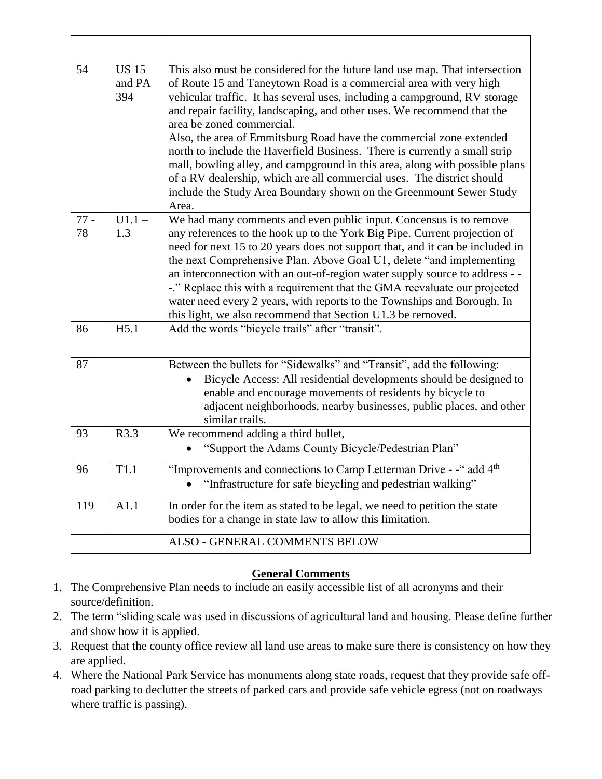| 54           | <b>US 15</b><br>and PA<br>394 | This also must be considered for the future land use map. That intersection<br>of Route 15 and Taneytown Road is a commercial area with very high<br>vehicular traffic. It has several uses, including a campground, RV storage<br>and repair facility, landscaping, and other uses. We recommend that the<br>area be zoned commercial.<br>Also, the area of Emmitsburg Road have the commercial zone extended<br>north to include the Haverfield Business. There is currently a small strip<br>mall, bowling alley, and campground in this area, along with possible plans<br>of a RV dealership, which are all commercial uses. The district should<br>include the Study Area Boundary shown on the Greenmount Sewer Study<br>Area. |
|--------------|-------------------------------|---------------------------------------------------------------------------------------------------------------------------------------------------------------------------------------------------------------------------------------------------------------------------------------------------------------------------------------------------------------------------------------------------------------------------------------------------------------------------------------------------------------------------------------------------------------------------------------------------------------------------------------------------------------------------------------------------------------------------------------|
| $77 -$<br>78 | $U1.1 -$<br>1.3               | We had many comments and even public input. Concensus is to remove<br>any references to the hook up to the York Big Pipe. Current projection of<br>need for next 15 to 20 years does not support that, and it can be included in<br>the next Comprehensive Plan. Above Goal U1, delete "and implementing<br>an interconnection with an out-of-region water supply source to address - -<br>-." Replace this with a requirement that the GMA reevaluate our projected<br>water need every 2 years, with reports to the Townships and Borough. In<br>this light, we also recommend that Section U1.3 be removed.                                                                                                                        |
| 86           | H5.1                          | Add the words "bicycle trails" after "transit".                                                                                                                                                                                                                                                                                                                                                                                                                                                                                                                                                                                                                                                                                       |
| 87           |                               | Between the bullets for "Sidewalks" and "Transit", add the following:<br>Bicycle Access: All residential developments should be designed to<br>enable and encourage movements of residents by bicycle to<br>adjacent neighborhoods, nearby businesses, public places, and other<br>similar trails.                                                                                                                                                                                                                                                                                                                                                                                                                                    |
| 93           | R3.3                          | We recommend adding a third bullet,<br>"Support the Adams County Bicycle/Pedestrian Plan"                                                                                                                                                                                                                                                                                                                                                                                                                                                                                                                                                                                                                                             |
| 96           | T1.1                          | "Improvements and connections to Camp Letterman Drive - -" add 4 <sup>th</sup><br>"Infrastructure for safe bicycling and pedestrian walking"                                                                                                                                                                                                                                                                                                                                                                                                                                                                                                                                                                                          |
| 119          | A1.1                          | In order for the item as stated to be legal, we need to petition the state<br>bodies for a change in state law to allow this limitation.                                                                                                                                                                                                                                                                                                                                                                                                                                                                                                                                                                                              |
|              |                               | ALSO - GENERAL COMMENTS BELOW                                                                                                                                                                                                                                                                                                                                                                                                                                                                                                                                                                                                                                                                                                         |

## **General Comments**

- 1. The Comprehensive Plan needs to include an easily accessible list of all acronyms and their source/definition.
- 2. The term "sliding scale was used in discussions of agricultural land and housing. Please define further and show how it is applied.
- 3. Request that the county office review all land use areas to make sure there is consistency on how they are applied.
- 4. Where the National Park Service has monuments along state roads, request that they provide safe offroad parking to declutter the streets of parked cars and provide safe vehicle egress (not on roadways where traffic is passing).